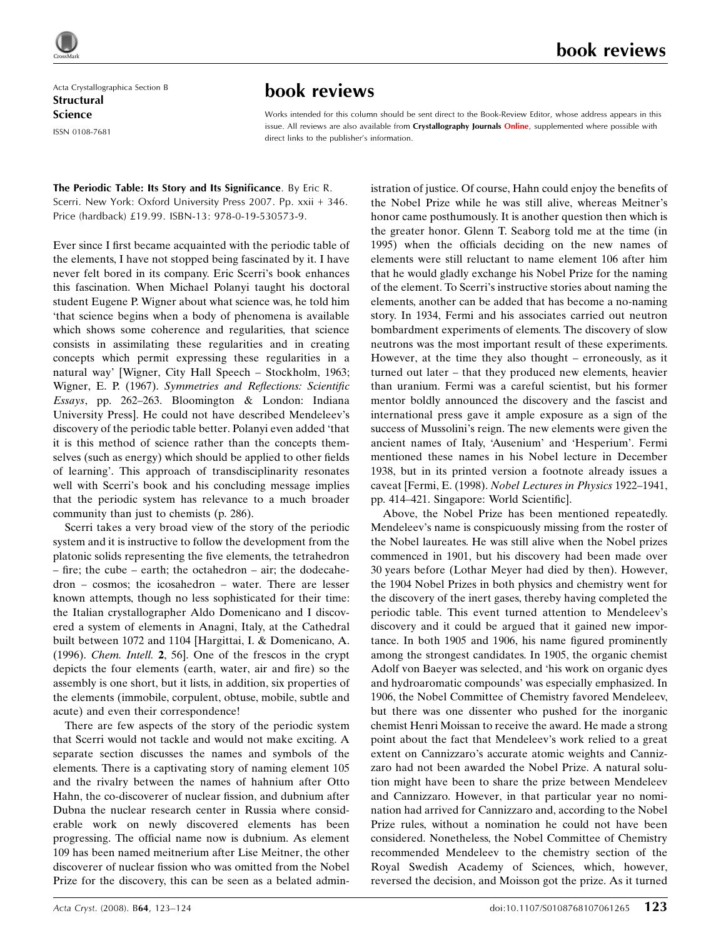Acta Crystallographica Section B **Structural** Science ISSN 0108-7681

## book reviews

## book reviews

Works intended for this column should be sent direct to the Book-Review Editor, whose address appears in this issue. All reviews are also available from Crystallography Journals Online, supplemented where possible with direct links to the publisher's information.

The Periodic Table: Its Story and Its Significance. By Eric R. Scerri. New York: Oxford University Press 2007. Pp. xxii + 346. Price (hardback) £19.99. ISBN-13: 978-0-19-530573-9.

Ever since I first became acquainted with the periodic table of the elements, I have not stopped being fascinated by it. I have never felt bored in its company. Eric Scerri's book enhances this fascination. When Michael Polanyi taught his doctoral student Eugene P. Wigner about what science was, he told him 'that science begins when a body of phenomena is available which shows some coherence and regularities, that science consists in assimilating these regularities and in creating concepts which permit expressing these regularities in a natural way' [Wigner, City Hall Speech – Stockholm, 1963; Wigner, E. P. (1967). Symmetries and Reflections: Scientific Essays, pp. 262–263. Bloomington & London: Indiana University Press]. He could not have described Mendeleev's discovery of the periodic table better. Polanyi even added 'that it is this method of science rather than the concepts themselves (such as energy) which should be applied to other fields of learning'. This approach of transdisciplinarity resonates well with Scerri's book and his concluding message implies that the periodic system has relevance to a much broader community than just to chemists (p. 286).

Scerri takes a very broad view of the story of the periodic system and it is instructive to follow the development from the platonic solids representing the five elements, the tetrahedron – fire; the cube – earth; the octahedron – air; the dodecahedron – cosmos; the icosahedron – water. There are lesser known attempts, though no less sophisticated for their time: the Italian crystallographer Aldo Domenicano and I discovered a system of elements in Anagni, Italy, at the Cathedral built between 1072 and 1104 [Hargittai, I. & Domenicano, A. (1996). Chem. Intell. 2, 56]. One of the frescos in the crypt depicts the four elements (earth, water, air and fire) so the assembly is one short, but it lists, in addition, six properties of the elements (immobile, corpulent, obtuse, mobile, subtle and acute) and even their correspondence!

There are few aspects of the story of the periodic system that Scerri would not tackle and would not make exciting. A separate section discusses the names and symbols of the elements. There is a captivating story of naming element 105 and the rivalry between the names of hahnium after Otto Hahn, the co-discoverer of nuclear fission, and dubnium after Dubna the nuclear research center in Russia where considerable work on newly discovered elements has been progressing. The official name now is dubnium. As element 109 has been named meitnerium after Lise Meitner, the other discoverer of nuclear fission who was omitted from the Nobel Prize for the discovery, this can be seen as a belated administration of justice. Of course, Hahn could enjoy the benefits of the Nobel Prize while he was still alive, whereas Meitner's honor came posthumously. It is another question then which is the greater honor. Glenn T. Seaborg told me at the time (in 1995) when the officials deciding on the new names of elements were still reluctant to name element 106 after him that he would gladly exchange his Nobel Prize for the naming of the element. To Scerri's instructive stories about naming the elements, another can be added that has become a no-naming story. In 1934, Fermi and his associates carried out neutron bombardment experiments of elements. The discovery of slow neutrons was the most important result of these experiments. However, at the time they also thought – erroneously, as it turned out later – that they produced new elements, heavier than uranium. Fermi was a careful scientist, but his former mentor boldly announced the discovery and the fascist and international press gave it ample exposure as a sign of the success of Mussolini's reign. The new elements were given the ancient names of Italy, 'Ausenium' and 'Hesperium'. Fermi mentioned these names in his Nobel lecture in December 1938, but in its printed version a footnote already issues a caveat [Fermi, E. (1998). Nobel Lectures in Physics 1922–1941, pp. 414–421. Singapore: World Scientific].

Above, the Nobel Prize has been mentioned repeatedly. Mendeleev's name is conspicuously missing from the roster of the Nobel laureates. He was still alive when the Nobel prizes commenced in 1901, but his discovery had been made over 30 years before (Lothar Meyer had died by then). However, the 1904 Nobel Prizes in both physics and chemistry went for the discovery of the inert gases, thereby having completed the periodic table. This event turned attention to Mendeleev's discovery and it could be argued that it gained new importance. In both 1905 and 1906, his name figured prominently among the strongest candidates. In 1905, the organic chemist Adolf von Baeyer was selected, and 'his work on organic dyes and hydroaromatic compounds' was especially emphasized. In 1906, the Nobel Committee of Chemistry favored Mendeleev, but there was one dissenter who pushed for the inorganic chemist Henri Moissan to receive the award. He made a strong point about the fact that Mendeleev's work relied to a great extent on Cannizzaro's accurate atomic weights and Cannizzaro had not been awarded the Nobel Prize. A natural solution might have been to share the prize between Mendeleev and Cannizzaro. However, in that particular year no nomination had arrived for Cannizzaro and, according to the Nobel Prize rules, without a nomination he could not have been considered. Nonetheless, the Nobel Committee of Chemistry recommended Mendeleev to the chemistry section of the Royal Swedish Academy of Sciences, which, however, reversed the decision, and Moisson got the prize. As it turned